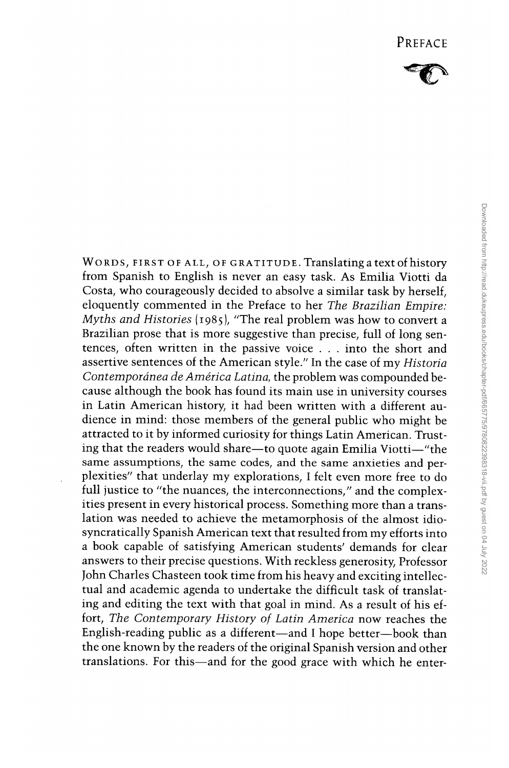

WORDS, FIRST OF ALL, OF GRATITUDE. Translating a text of history from Spanish to English is never an easy task. As Emilia Viotti da Costa, who courageously decided to absolve a similar task by herself, eloquently commented in the Preface to her *The Brazilian Empire: Myths and Histories* (1985), "The real problem was how to convert a Brazilian prose that is more suggestive than precise, full of long sentences, often written in the passive voice ... into the short and assertive sentences of the American style." In the case of my *Historia Contempordnea* de *America Latina,* the problem was compounded because although the book has found its main use in university courses in Latin American history, it had been written with a different audience in mind: those members of the general public who might be attracted to it by informed curiosity for things Latin American. Trusting that the readers would share-to quote again Emilia Viotti-"the same assumptions, the same codes, and the same anxieties and perplexities" that underlay my explorations, I felt even more free to do full justice to "the nuances, the interconnections," and the complexities present in every historical process. Something more than a translation was needed to achieve the metamorphosis of the almost idiosyncratically Spanish American text that resulted from my efforts into a book capable of satisfying American students' demands for clear answers to their precise questions. With reckless generosity, Professor John Charles Chasteen took time from his heavy and exciting intellectual and academic agenda to undertake the difficult task of translating and editing the text with that goal in mind. As a result of his effort, *The Contemporary History of Latin America* now reaches the English-reading public as a different-and I hope better-book than the one known by the readers of the original Spanish version and other translations. For this-and for the good grace with which he enter